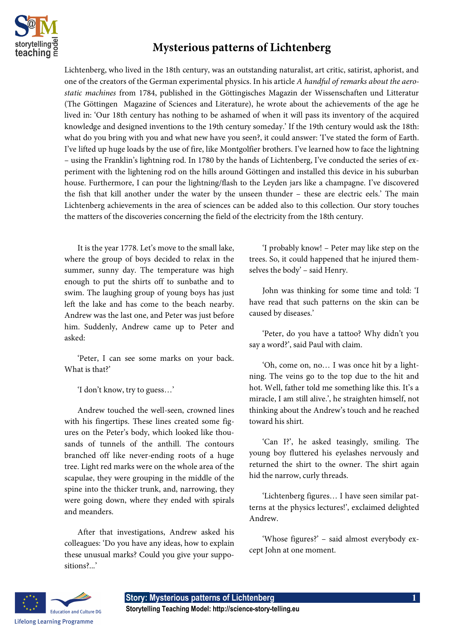

## **Mysterious patterns of Lichtenberg**

Lichtenberg, who lived in the 18th century, was an outstanding naturalist, art critic, satirist, aphorist, and one of the creators of the German experimental physics. In his article *A handful of remarks about the aerostatic machines* from 1784, published in the Göttingisches Magazin der Wissenschaften und Litteratur (The Göttingen Magazine of Sciences and Literature), he wrote about the achievements of the age he lived in: 'Our 18th century has nothing to be ashamed of when it will pass its inventory of the acquired knowledge and designed inventions to the 19th century someday.' If the 19th century would ask the 18th: what do you bring with you and what new have you seen?, it could answer: 'I've stated the form of Earth. I've lifted up huge loads by the use of fire, like Montgolfier brothers. I've learned how to face the lightning – using the Franklin's lightning rod. In 1780 by the hands of Lichtenberg, I've conducted the series of experiment with the lightening rod on the hills around Göttingen and installed this device in his suburban house. Furthermore, I can pour the lightning/flash to the Leyden jars like a champagne. I've discovered the fish that kill another under the water by the unseen thunder – these are electric eels.' The main Lichtenberg achievements in the area of sciences can be added also to this collection. Our story touches the matters of the discoveries concerning the field of the electricity from the 18th century.

It is the year 1778. Let's move to the small lake, where the group of boys decided to relax in the summer, sunny day. The temperature was high enough to put the shirts off to sunbathe and to swim. The laughing group of young boys has just left the lake and has come to the beach nearby. Andrew was the last one, and Peter was just before him. Suddenly, Andrew came up to Peter and asked:

'Peter, I can see some marks on your back. What is that?'

'I don't know, try to guess…'

Andrew touched the well-seen, crowned lines with his fingertips. These lines created some figures on the Peter's body, which looked like thousands of tunnels of the anthill. The contours branched off like never-ending roots of a huge tree. Light red marks were on the whole area of the scapulae, they were grouping in the middle of the spine into the thicker trunk, and, narrowing, they were going down, where they ended with spirals and meanders.

After that investigations, Andrew asked his colleagues: 'Do you have any ideas, how to explain these unusual marks? Could you give your suppositions?...'

'I probably know! – Peter may like step on the trees. So, it could happened that he injured themselves the body' – said Henry.

John was thinking for some time and told: 'I have read that such patterns on the skin can be caused by diseases.'

'Peter, do you have a tattoo? Why didn't you say a word?', said Paul with claim.

'Oh, come on, no… I was once hit by a lightning. The veins go to the top due to the hit and hot. Well, father told me something like this. It's a miracle, I am still alive.', he straighten himself, not thinking about the Andrew's touch and he reached toward his shirt.

'Can I?', he asked teasingly, smiling. The young boy fluttered his eyelashes nervously and returned the shirt to the owner. The shirt again hid the narrow, curly threads.

'Lichtenberg figures… I have seen similar patterns at the physics lectures!', exclaimed delighted Andrew.

'Whose figures?' – said almost everybody except John at one moment.

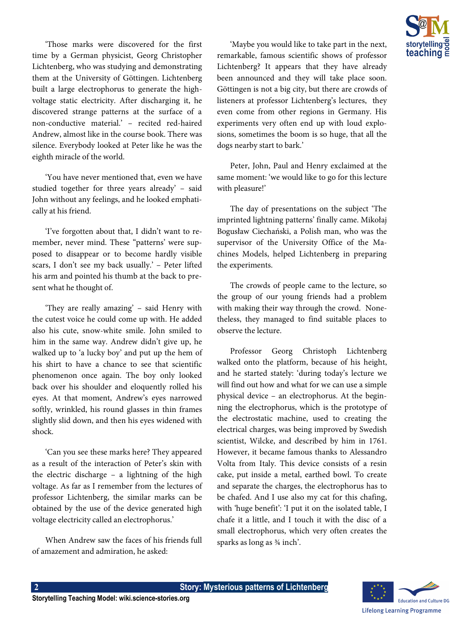'Those marks were discovered for the first time by a German physicist, Georg Christopher Lichtenberg, who was studying and demonstrating them at the University of Göttingen. Lichtenberg built a large electrophorus to generate the highvoltage static electricity. After discharging it, he discovered strange patterns at the surface of a non-conductive material.' – recited red-haired Andrew, almost like in the course book. There was silence. Everybody looked at Peter like he was the eighth miracle of the world.

'You have never mentioned that, even we have studied together for three years already' – said John without any feelings, and he looked emphatically at his friend.

'I've forgotten about that, I didn't want to remember, never mind. These "patterns' were supposed to disappear or to become hardly visible scars, I don't see my back usually.' – Peter lifted his arm and pointed his thumb at the back to present what he thought of.

'They are really amazing' – said Henry with the cutest voice he could come up with. He added also his cute, snow-white smile. John smiled to him in the same way. Andrew didn't give up, he walked up to 'a lucky boy' and put up the hem of his shirt to have a chance to see that scientific phenomenon once again. The boy only looked back over his shoulder and eloquently rolled his eyes. At that moment, Andrew's eyes narrowed softly, wrinkled, his round glasses in thin frames slightly slid down, and then his eyes widened with shock.

'Can you see these marks here? They appeared as a result of the interaction of Peter's skin with the electric discharge – a lightning of the high voltage. As far as I remember from the lectures of professor Lichtenberg, the similar marks can be obtained by the use of the device generated high voltage electricity called an electrophorus.'

When Andrew saw the faces of his friends full of amazement and admiration, he asked:

**2 Story: Mysterious patterns of Lichtenberg**

'Maybe you would like to take part in the next, remarkable, famous scientific shows of professor Lichtenberg? It appears that they have already been announced and they will take place soon. Göttingen is not a big city, but there are crowds of listeners at professor Lichtenberg's lectures, they even come from other regions in Germany. His experiments very often end up with loud explosions, sometimes the boom is so huge, that all the dogs nearby start to bark.'

Peter, John, Paul and Henry exclaimed at the same moment: 'we would like to go for this lecture with pleasure!'

The day of presentations on the subject 'The imprinted lightning patterns' finally came. Mikołaj Bogusław Ciechański, a Polish man, who was the supervisor of the University Office of the Machines Models, helped Lichtenberg in preparing the experiments.

The crowds of people came to the lecture, so the group of our young friends had a problem with making their way through the crowd. Nonetheless, they managed to find suitable places to observe the lecture.

Professor Georg Christoph Lichtenberg walked onto the platform, because of his height, and he started stately: 'during today's lecture we will find out how and what for we can use a simple physical device – an electrophorus. At the beginning the electrophorus, which is the prototype of the electrostatic machine, used to creating the electrical charges, was being improved by Swedish scientist, Wilcke, and described by him in 1761. However, it became famous thanks to Alessandro Volta from Italy. This device consists of a resin cake, put inside a metal, earthed bowl. To create and separate the charges, the electrophorus has to be chafed. And I use also my cat for this chafing, with 'huge benefit': 'I put it on the isolated table, I chafe it a little, and I touch it with the disc of a small electrophorus, which very often creates the sparks as long as ¾ inch'.